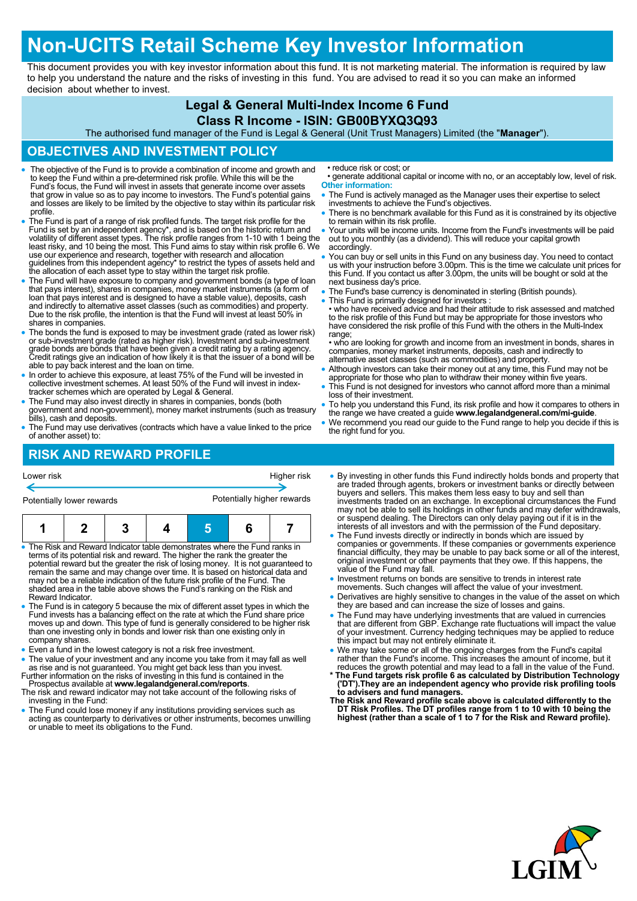# **Non-UCITS Retail Scheme Key Investor Information**

This document provides you with key investor information about this fund. It is not marketing material. The information is required by law to help you understand the nature and the risks of investing in this fund. You are advised to read it so you can make an informed decision about whether to invest.

## **Legal & General Multi-Index Income 6 Fund**

#### **Class R Income - ISIN: GB00BYXQ3Q93**

The authorised fund manager of the Fund is Legal & General (Unit Trust Managers) Limited (the "**Manager**").

#### **OBJECTIVES AND INVESTMENT POLICY**

- The objective of the Fund is to provide a combination of income and growth and to keep the Fund within a pre-determined risk profile. While this will be the Fund's focus, the Fund will invest in assets that generate income over assets that grow in value so as to pay income to investors. The Fund's potential gains and losses are likely to be limited by the objective to stay within its particular risk profile.
- The Fund is part of a range of risk profiled funds. The target risk profile for the Fund is set by an independent agency\*, and is based on the historic return and volatility of different asset types. The risk profile ranges from 1-10 with 1 being the least risky, and 10 being the most. This Fund aims to stay within risk profile 6. We use our experience and research, together with research and allocation guidelines from this independent agency\* to restrict the types of assets held and the allocation of each asset type to stay within the target risk profile.
- The Fund will have exposure to company and government bonds (a type of loan<br>that pays interest), shares in companies, money market instruments (a form of<br>loan that pays interest and is designed to have a stable value), d and indirectly to alternative asset classes (such as commodities) and property. Due to the risk profile, the intention is that the Fund will invest at least 50% in shares in companies.
- The bonds the fund is exposed to may be investment grade (rated as lower risk) or sub-investment grade (rated as higher risk). Investment and sub-investment grade bonds are bonds that have been given a credit rating by a able to pay back interest and the loan on time.
- In order to achieve this exposure, at least 75% of the Fund will be invested in collective investment schemes. At least 50% of the Fund will invest in index-tracker schemes which are operated by Legal & General.
- The Fund may also invest directly in shares in companies, bonds (both government and non-government), money market instruments (such as treasury bills), cash and deposits.
- The Fund may use derivatives (contracts which have a value linked to the price of another asset) to:

# **RISK AND REWARD PROFILE**

| Lower risk                | Higher risk                |
|---------------------------|----------------------------|
| Potentially lower rewards | Potentially higher rewards |
|                           |                            |

|--|--|--|--|--|--|--|

- The Risk and Reward Indicator table demonstrates where the Fund ranks in terms of its potential risk and reward. The higher the rank the greater the potential reward but the greater the risk of losing money. It is not guaranteed to remain the same and may change over time. It is based on historical data and may not be a reliable indication of the future risk profile of the Fund. The shaded area in the table above shows the Fund's ranking on the Risk and Reward Indicator.
- The Fund is in category 5 because the mix of different asset types in which the Fund invests has a balancing effect on the rate at which the Fund share price moves up and down. This type of fund is generally considered to be higher risk than one investing only in bonds and lower risk than one existing only in company shares.
- Even a fund in the lowest category is not a risk free investment.
- The value of your investment and any income you take from it may fall as well as rise and is not guaranteed. You might get back less than you invest. Further information on the risks of investing in this fund is contained in the
- Prospectus available at **www.legalandgeneral.com/reports**. The risk and reward indicator may not take account of the following risks of
- investing in the Fund: The Fund could lose money if any institutions providing services such as acting as counterparty to derivatives or other instruments, becomes unwilling or unable to meet its obligations to the Fund.
- reduce risk or cost; or
- generate additional capital or income with no, or an acceptably low, level of risk. **Other information:**
- The Fund is actively managed as the Manager uses their expertise to select investments to achieve the Fund's objectives.
- There is no benchmark available for this Fund as it is constrained by its objective to remain within its risk profile.
- Your units will be income units. Income from the Fund's investments will be paid out to you monthly (as a dividend). This will reduce your capital growth accordingly.
- You can buy or sell units in this Fund on any business day. You need to contact us with your instruction before 3.00pm. This is the time we calculate unit prices for this Fund. If you contact us after 3.00pm, the units will be bought or sold at the next business day's price.
- The Fund's base currency is denominated in sterling (British pounds).
- This Fund is primarily designed for investors

• who have received advice and had their attitude to risk assessed and matched to the risk profile of this Fund but may be appropriate for those investors who have considered the risk profile of this Fund with the others in the Multi-Index range;

• who are looking for growth and income from an investment in bonds, shares in companies, money market instruments, deposits, cash and indirectly to alternative asset classes (such as commodities) and property.

- Although investors can take their money out at any time, this Fund may not be appropriate for those who plan to withdraw their money within five years.
- This Fund is not designed for investors who cannot afford more than a minimal loss of their investment.
- To help you understand this Fund, its risk profile and how it compares to others in the range we have created a guide **www.legalandgeneral.com/mi-guide**.
- We recommend you read our guide to the Fund range to help you decide if this is the right fund for you.
- By investing in other funds this Fund indirectly holds bonds and property that are traded through agents, brokers or investment banks or directly between buyers and sellers. This makes them less easy to buy and sell than investments traded on an exchange. In exceptional circumstances the Fund may not be able to sell its holdings in other funds and may defer withdrawals, or suspend dealing. The Directors can only delay paying out if it is in the interests of all investors and with the permission of the Fund depositary.
- The Fund invests directly or indirectly in bonds which are issued by companies or governments. If these companies or governments experience financial difficulty, they may be unable to pay back some or all of the interest, original investment or other payments that they owe. If this happens, the value of the Fund may fall.
- Investment returns on bonds are sensitive to trends in interest rate
- movements. Such changes will affect the value of your investment. Derivatives are highly sensitive to changes in the value of the asset on which they are based and can increase the size of losses and gains.
- The Fund may have underlying investments that are valued in currencies that are different from GBP. Exchange rate fluctuations will impact the value of your investment. Currency hedging techniques may be applied to reduce this impact but may not entirely eliminate it.
- We may take some or all of the ongoing charges from the Fund's capital<br>rather than the Fund's income. This increases the amount of income, but it<br>reduces the growth potential and may lead to a fall in the value of the Fu
- **\* The Fund targets risk profile 6 as calculated by Distribution Technology ('DT').They are an independent agency who provide risk profiling tools to advisers and fund managers. The Risk and Reward profile scale above is calculated differently to the**
- **DT Risk Profiles. The DT profiles range from 1 to 10 with 10 being the highest (rather than a scale of 1 to 7 for the Risk and Reward profile).**